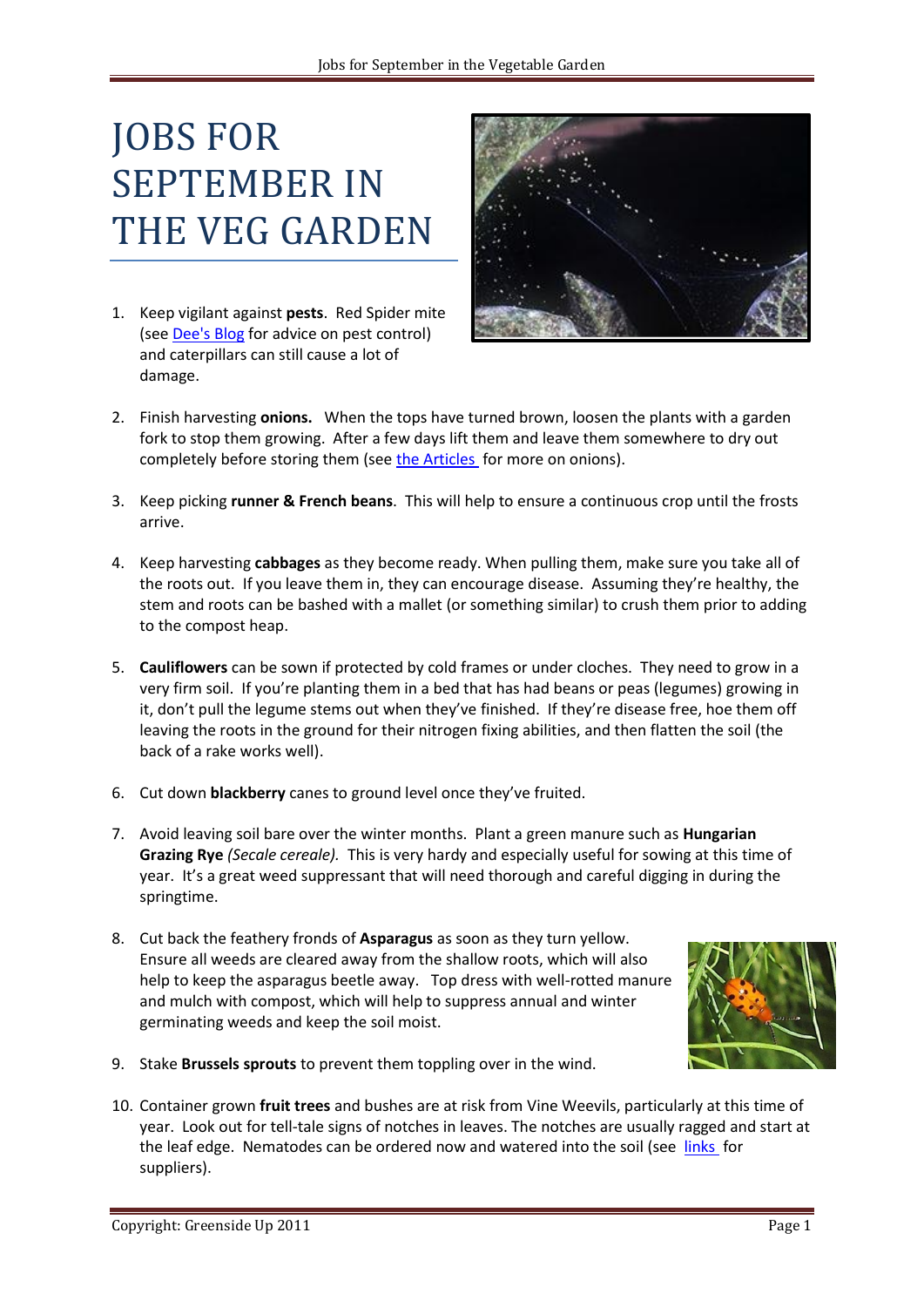## JOBS FOR SEPTEMBER IN THE VEG GARDEN

1. Keep vigilant against **pests**. Red Spider mite (see [Dee's Blog](http://greensideupveg.blogspot.com/2010/06/organic-pesticides-and-fungicides.html) for advice on pest control) and caterpillars can still cause a lot of damage.



- 2. Finish harvesting **onions.** When the tops have turned brown, loosen the plants with a garden fork to stop them growing. After a few days lift them and leave them somewhere to dry out completely before storing them (see [the Articles](http://www.aztecsailing.co.uk/baurnafea/greensideup/information.html) for more on onions).
- 3. Keep picking **runner & French beans**. This will help to ensure a continuous crop until the frosts arrive.
- 4. Keep harvesting **cabbages** as they become ready. When pulling them, make sure you take all of the roots out. If you leave them in, they can encourage disease. Assuming they're healthy, the stem and roots can be bashed with a mallet (or something similar) to crush them prior to adding to the compost heap.
- 5. **Cauliflowers** can be sown if protected by cold frames or under cloches. They need to grow in a very firm soil. If you're planting them in a bed that has had beans or peas (legumes) growing in it, don't pull the legume stems out when they've finished. If they're disease free, hoe them off leaving the roots in the ground for their nitrogen fixing abilities, and then flatten the soil (the back of a rake works well).
- 6. Cut down **blackberry** canes to ground level once they've fruited.
- 7. Avoid leaving soil bare over the winter months. Plant a green manure such as **Hungarian Grazing Rye** *(Secale cereale).* This is very hardy and especially useful for sowing at this time of year. It's a great weed suppressant that will need thorough and careful digging in during the springtime.
- 8. Cut back the feathery fronds of **Asparagus** as soon as they turn yellow. Ensure all weeds are cleared away from the shallow roots, which will also help to keep the asparagus beetle away. Top dress with well-rotted manure and mulch with compost, which will help to suppress annual and winter germinating weeds and keep the soil moist.



- 9. Stake **Brussels sprouts** to prevent them toppling over in the wind.
- 10. Container grown **fruit trees** and bushes are at risk from Vine Weevils, particularly at this time of year. Look out for tell-tale signs of notches in leaves. The notches are usually ragged and start at the leaf edge. Nematodes can be ordered now and watered into the soil (see [links](http://www.aztecsailing.co.uk/baurnafea/greensideup/links.html) for suppliers).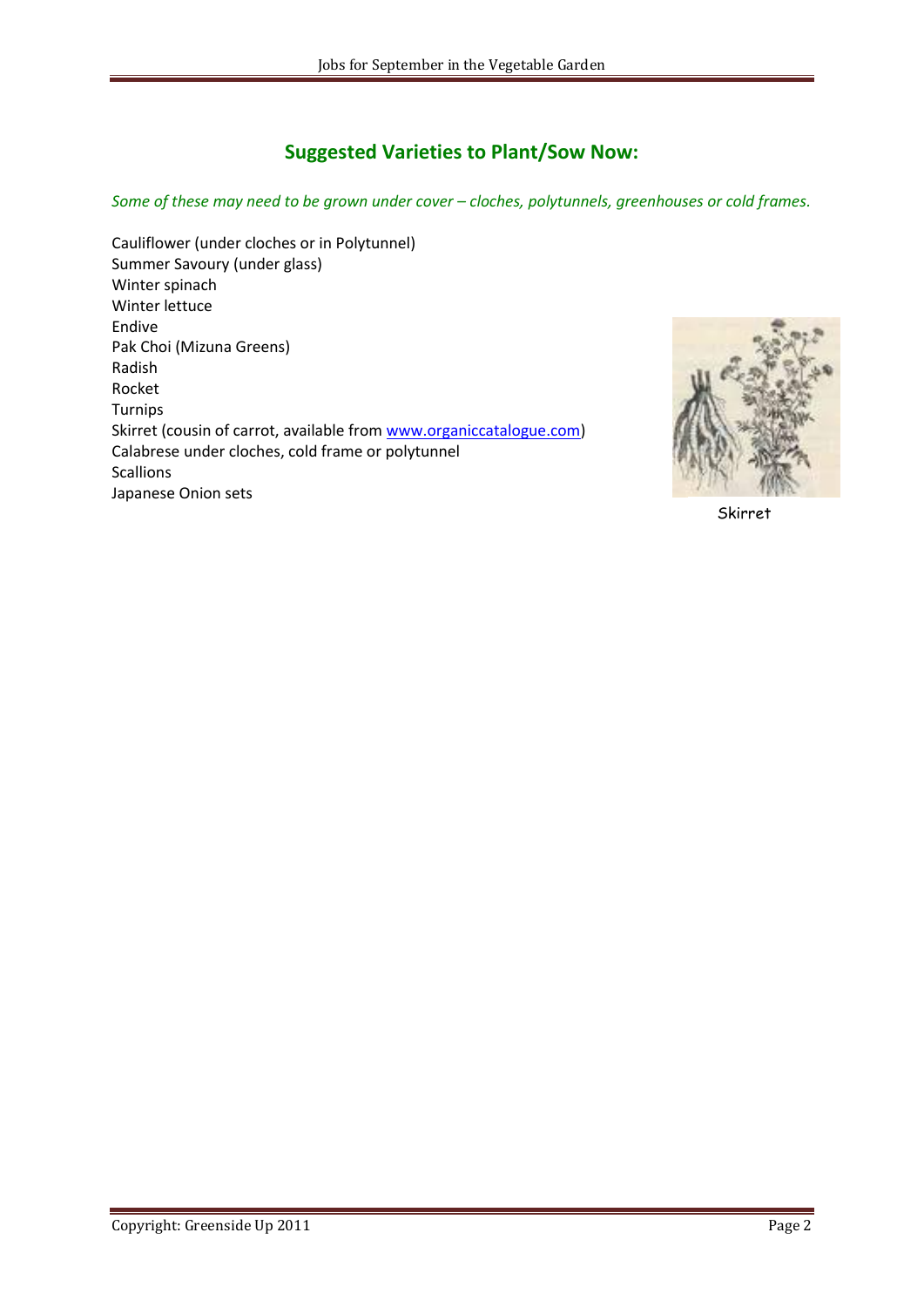## **Suggested Varieties to Plant/Sow Now:**

*Some of these may need to be grown under cover – cloches, polytunnels, greenhouses or cold frames.*

Cauliflower (under cloches or in Polytunnel) Summer Savoury (under glass) Winter spinach Winter lettuce Endive Pak Choi (Mizuna Greens) Radish Rocket Turnips Skirret (cousin of carrot, available from [www.organiccatalogue.com\)](http://www.organiccatalogue.com/) Calabrese under cloches, cold frame or polytunnel Scallions Japanese Onion sets



Skirret